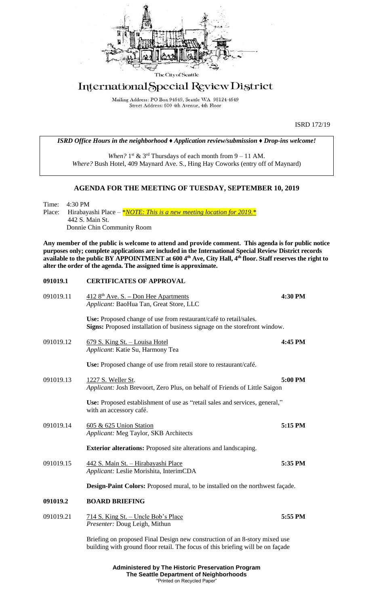

# International Special Review District

Mailing Address: PO Box 94649, Seattle WA 98124-4649 Street Address: 600 4th Avenue, 4th Floor

ISRD 172/19

*ISRD Office Hours in the neighborhood ♦ Application review/submission ♦ Drop-ins welcome!*

When?  $1<sup>st</sup>$  &  $3<sup>rd</sup>$  Thursdays of each month from  $9 - 11$  AM. *Where?* Bush Hotel, 409 Maynard Ave. S., Hing Hay Coworks (entry off of Maynard)

## **AGENDA FOR THE MEETING OF TUESDAY, SEPTEMBER 10, 2019**

Time: 4:30 PM<br>Place: Hirabaya Hirabayashi Place – \**NOTE: This is a new meeting location for 2019.*\* 442 S. Main St. Donnie Chin Community Room

**Any member of the public is welcome to attend and provide comment. This agenda is for public notice purposes only; complete applications are included in the International Special Review District records available to the public BY APPOINTMENT at 600 4th Ave, City Hall, 4th floor. Staff reserves the right to alter the order of the agenda. The assigned time is approximate.** 

#### **091019.1 CERTIFICATES OF APPROVAL**

| 091019.11 | $4128th$ Ave. S. – Don Hee Apartments<br>Applicant: BaoHua Tan, Great Store, LLC                                                                              | 4:30 PM |
|-----------|---------------------------------------------------------------------------------------------------------------------------------------------------------------|---------|
|           | Use: Proposed change of use from restaurant/café to retail/sales.<br>Signs: Proposed installation of business signage on the storefront window.               |         |
| 091019.12 | <u>679 S. King St. – Louisa Hotel</u><br>Applicant: Katie Su, Harmony Tea                                                                                     | 4:45 PM |
|           | Use: Proposed change of use from retail store to restaurant/café.                                                                                             |         |
| 091019.13 | 1227 S. Weller St.<br>Applicant: Josh Brevoort, Zero Plus, on behalf of Friends of Little Saigon                                                              | 5:00 PM |
|           | Use: Proposed establishment of use as "retail sales and services, general,"<br>with an accessory café.                                                        |         |
| 091019.14 | 605 & 625 Union Station<br>Applicant: Meg Taylor, SKB Architects                                                                                              | 5:15 PM |
|           | <b>Exterior alterations:</b> Proposed site alterations and landscaping.                                                                                       |         |
| 091019.15 | 442 S. Main St. - Hirabayashi Place<br>Applicant: Leslie Morishita, InterimCDA                                                                                | 5:35 PM |
|           | Design-Paint Colors: Proposed mural, to be installed on the northwest façade.                                                                                 |         |
| 091019.2  | <b>BOARD BRIEFING</b>                                                                                                                                         |         |
| 091019.21 | <u>714 S. King St. – Uncle Bob's Place</u><br>Presenter: Doug Leigh, Mithun                                                                                   | 5:55 PM |
|           | Briefing on proposed Final Design new construction of an 8-story mixed use<br>building with ground floor retail. The focus of this briefing will be on façade |         |